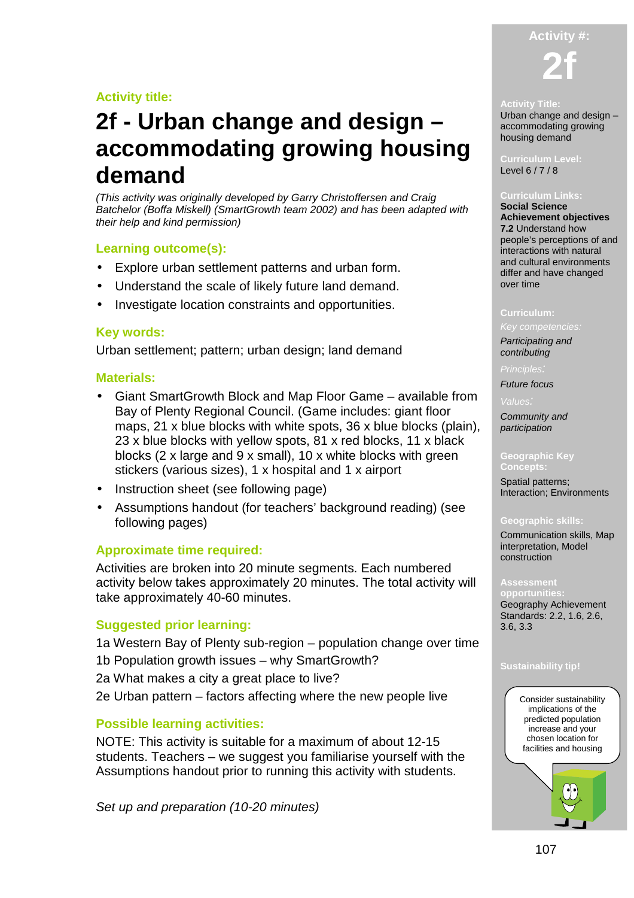## **Activity title:**

## **2f - Urban change and design – accommodating growing housing demand**

(This activity was originally developed by Garry Christoffersen and Craig Batchelor (Boffa Miskell) (SmartGrowth team 2002) and has been adapted with their help and kind permission)

## **Learning outcome(s):**

- Explore urban settlement patterns and urban form.
- Understand the scale of likely future land demand.
- Investigate location constraints and opportunities.

## **Key words:**

Urban settlement; pattern; urban design; land demand

#### **Materials:**

- Giant SmartGrowth Block and Map Floor Game available from Bay of Plenty Regional Council. (Game includes: giant floor maps, 21 x blue blocks with white spots, 36 x blue blocks (plain), 23 x blue blocks with yellow spots, 81 x red blocks, 11 x black blocks (2 x large and 9 x small), 10 x white blocks with green stickers (various sizes), 1 x hospital and 1 x airport
- Instruction sheet (see following page)
- Assumptions handout (for teachers' background reading) (see following pages)

## **Approximate time required:**

Activities are broken into 20 minute segments. Each numbered activity below takes approximately 20 minutes. The total activity will take approximately 40-60 minutes.

#### **Suggested prior learning:**

1a Western Bay of Plenty sub-region – population change over time 1b Population growth issues – why SmartGrowth? 2a What makes a city a great place to live? 2e Urban pattern – factors affecting where the new people live

## **Possible learning activities:**

NOTE: This activity is suitable for a maximum of about 12-15 students. Teachers – we suggest you familiarise yourself with the Assumptions handout prior to running this activity with students.

Set up and preparation (10-20 minutes)

# **Activity #: 2f**

#### **Activity Title:**

Urban change and design – accommodating growing housing demand

**Curriculum Level:**  Level 6 / 7 / 8

#### **Curriculum Links:**

**Social Science Achievement objectives 7.2** Understand how people's perceptions of and interactions with natural and cultural environments differ and have changed over time

#### **Curriculum:**

Key competencies:

Participating and contributing

**Principles** 

Future focus

Community and participation

#### **Geographic Key Concepts:**

Spatial patterns; Interaction; Environments

#### **Geographic skills:**

Communication skills, Map interpretation, Model construction

#### **Assessment**

**opportunities:**  Geography Achievement Standards: 2.2, 1.6, 2.6, 3.6, 3.3

#### **Sustainability tip!**

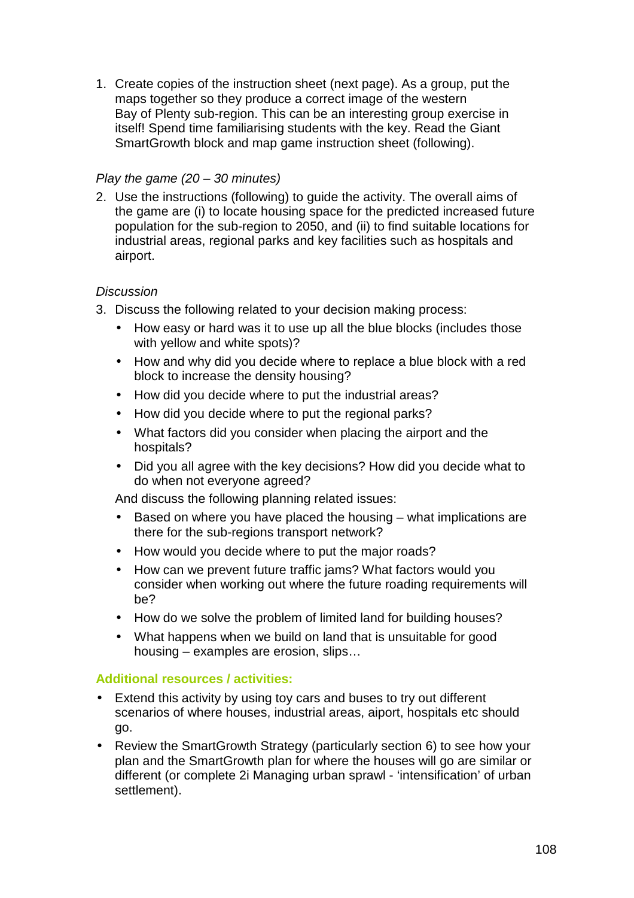1. Create copies of the instruction sheet (next page). As a group, put the maps together so they produce a correct image of the western Bay of Plenty sub-region. This can be an interesting group exercise in itself! Spend time familiarising students with the key. Read the Giant SmartGrowth block and map game instruction sheet (following).

## Play the game  $(20 - 30$  minutes)

2. Use the instructions (following) to guide the activity. The overall aims of the game are (i) to locate housing space for the predicted increased future population for the sub-region to 2050, and (ii) to find suitable locations for industrial areas, regional parks and key facilities such as hospitals and airport.

## **Discussion**

- 3. Discuss the following related to your decision making process:
	- How easy or hard was it to use up all the blue blocks (includes those with yellow and white spots)?
	- How and why did you decide where to replace a blue block with a red block to increase the density housing?
	- How did you decide where to put the industrial areas?
	- How did you decide where to put the regional parks?
	- What factors did you consider when placing the airport and the hospitals?
	- Did you all agree with the key decisions? How did you decide what to do when not everyone agreed?

And discuss the following planning related issues:

- Based on where you have placed the housing what implications are there for the sub-regions transport network?
- How would you decide where to put the major roads?
- How can we prevent future traffic jams? What factors would you consider when working out where the future roading requirements will be?
- How do we solve the problem of limited land for building houses?
- What happens when we build on land that is unsuitable for good housing – examples are erosion, slips…

## **Additional resources / activities:**

- Extend this activity by using toy cars and buses to try out different scenarios of where houses, industrial areas, aiport, hospitals etc should go.
- Review the SmartGrowth Strategy (particularly section 6) to see how your plan and the SmartGrowth plan for where the houses will go are similar or different (or complete 2i Managing urban sprawl - 'intensification' of urban settlement).